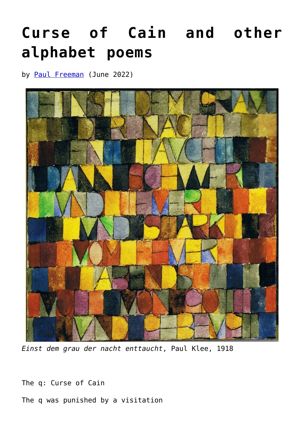## **[Curse of Cain and other](https://www.newenglishreview.org/articles/curse-of-cain-and-other-alphabet-poems/) [alphabet poems](https://www.newenglishreview.org/articles/curse-of-cain-and-other-alphabet-poems/)**

by **[Paul Freeman](https://www.newenglishreview.org/authors/paul-freeman/)** (June 2022)



*Einst dem grau der nacht enttaucht*, Paul Klee, 1918

The q: Curse of Cain

The q was punished by a visitation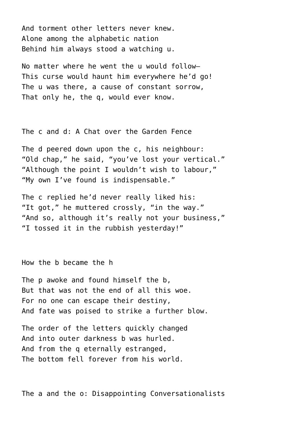And torment other letters never knew. Alone among the alphabetic nation Behind him always stood a watching u.

No matter where he went the u would follow— This curse would haunt him everywhere he'd go! The u was there, a cause of constant sorrow, That only he, the q, would ever know.

The c and d: A Chat over the Garden Fence

The d peered down upon the c, his neighbour: "Old chap," he said, "you've lost your vertical." "Although the point I wouldn't wish to labour," "My own I've found is indispensable."

The c replied he'd never really liked his: "It got," he muttered crossly, "in the way." "And so, although it's really not your business," "I tossed it in the rubbish yesterday!"

How the b became the h

The p awoke and found himself the b, But that was not the end of all this woe. For no one can escape their destiny, And fate was poised to strike a further blow.

The order of the letters quickly changed And into outer darkness b was hurled. And from the q eternally estranged, The bottom fell forever from his world.

The a and the o: Disappointing Conversationalists